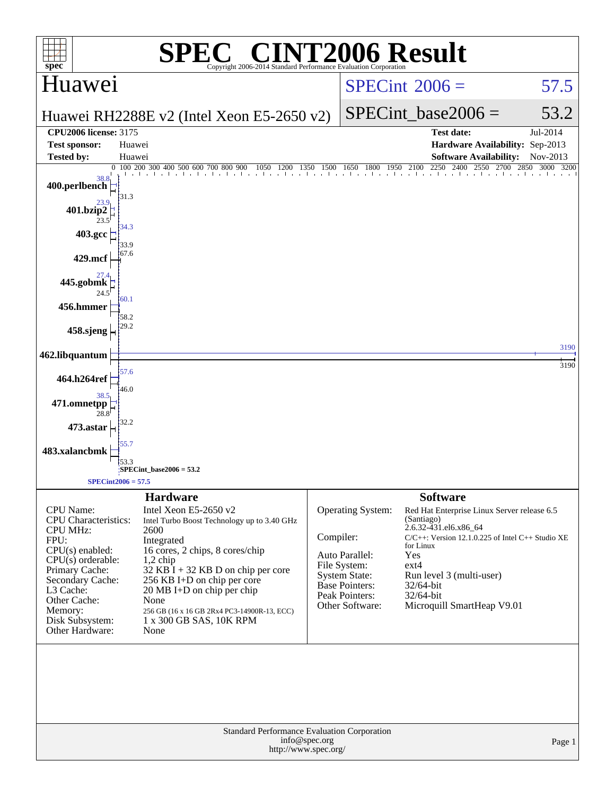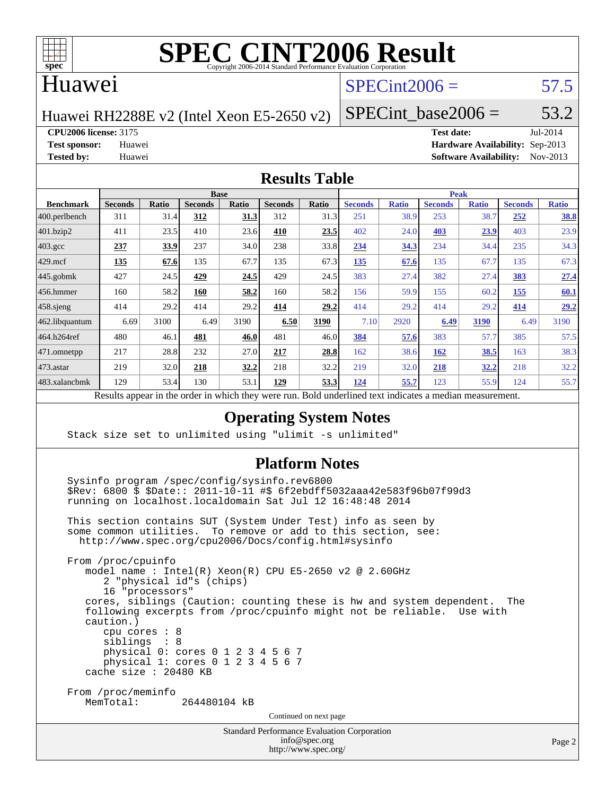

### Huawei

## $SPECint2006 = 57.5$  $SPECint2006 = 57.5$

Huawei RH2288E v2 (Intel Xeon E5-2650 v2)

SPECint base2006 =  $53.2$ 

**[CPU2006 license:](http://www.spec.org/auto/cpu2006/Docs/result-fields.html#CPU2006license)** 3175 **[Test date:](http://www.spec.org/auto/cpu2006/Docs/result-fields.html#Testdate)** Jul-2014

**[Test sponsor:](http://www.spec.org/auto/cpu2006/Docs/result-fields.html#Testsponsor)** Huawei **[Hardware Availability:](http://www.spec.org/auto/cpu2006/Docs/result-fields.html#HardwareAvailability)** Sep-2013 **[Tested by:](http://www.spec.org/auto/cpu2006/Docs/result-fields.html#Testedby)** Huawei **[Software Availability:](http://www.spec.org/auto/cpu2006/Docs/result-fields.html#SoftwareAvailability)** Nov-2013

### **[Results Table](http://www.spec.org/auto/cpu2006/Docs/result-fields.html#ResultsTable)**

| <b>Base</b>    |              |                |              |                | <b>Peak</b>  |                |              |                |              |                |              |
|----------------|--------------|----------------|--------------|----------------|--------------|----------------|--------------|----------------|--------------|----------------|--------------|
| <b>Seconds</b> | <b>Ratio</b> | <b>Seconds</b> | <b>Ratio</b> | <b>Seconds</b> | <b>Ratio</b> | <b>Seconds</b> | <b>Ratio</b> | <b>Seconds</b> | <b>Ratio</b> | <b>Seconds</b> | <b>Ratio</b> |
| 311            | 31.4         | <u>312</u>     | 31.3         | 312            | 31.3         | 251            | 38.9         | 253            | 38.7         | 252            | <u>38.8</u>  |
| 411            | 23.5         | 410            | 23.6         | 410            | 23.5         | 402            | 24.0         | 403            | 23.9         | 403            | 23.9         |
| 237            | 33.9         | 237            | 34.0         | 238            | 33.8         | 234            | 34.3         | 234            | 34.4         | 235            | 34.3         |
| <u>135</u>     | 67.6         | 135            | 67.7         | 135            | 67.3         | 135            | 67.6         | 135            | 67.7         | 135            | 67.3         |
| 427            | 24.5         | 429            | 24.5         | 429            | 24.5         | 383            | 27.4         | 382            | 27.4         | 383            | 27.4         |
| 160            | 58.2         | 160            | 58.2         | 160            | 58.2         | 156            | 59.9         | 155            | 60.2         | 155            | 60.1         |
| 414            | 29.2         | 414            | 29.2         | 414            | 29.2         | 414            | 29.2         | 414            | 29.2         | 414            | 29.2         |
| 6.69           | 3100         | 6.49           | 3190         | 6.50           | 3190         | 7.10           | 2920         | 6.49           | 3190         | 6.49           | 3190         |
| 480            | 46.1         | 481            | 46.0         | 481            | 46.0         | 384            | 57.6         | 383            | 57.7         | 385            | 57.5         |
| 217            | 28.8         | 232            | 27.0         | 217            | 28.8         | 162            |              | 162            | 38.5         | 163            | 38.3         |
| 219            | 32.0         | 218            | 32.2         | 218            | 32.2         | 219            | 32.0         | 218            | <u>32.2</u>  | 218            | 32.2         |
| 129            | 53.4         | 130            | 53.1         | 129            | 53.3         | 124            | 55.7         | 123            | 55.9         | 124            | 55.7         |
|                |              |                |              |                |              |                |              |                | 38.6         |                |              |

Results appear in the [order in which they were run.](http://www.spec.org/auto/cpu2006/Docs/result-fields.html#RunOrder) Bold underlined text [indicates a median measurement.](http://www.spec.org/auto/cpu2006/Docs/result-fields.html#Median)

### **[Operating System Notes](http://www.spec.org/auto/cpu2006/Docs/result-fields.html#OperatingSystemNotes)**

Stack size set to unlimited using "ulimit -s unlimited"

### **[Platform Notes](http://www.spec.org/auto/cpu2006/Docs/result-fields.html#PlatformNotes)**

Standard Performance Evaluation Corporation Sysinfo program /spec/config/sysinfo.rev6800 \$Rev: 6800 \$ \$Date:: 2011-10-11 #\$ 6f2ebdff5032aaa42e583f96b07f99d3 running on localhost.localdomain Sat Jul 12 16:48:48 2014 This section contains SUT (System Under Test) info as seen by some common utilities. To remove or add to this section, see: <http://www.spec.org/cpu2006/Docs/config.html#sysinfo> From /proc/cpuinfo model name : Intel(R) Xeon(R) CPU E5-2650 v2 @ 2.60GHz 2 "physical id"s (chips) 16 "processors" cores, siblings (Caution: counting these is hw and system dependent. The following excerpts from /proc/cpuinfo might not be reliable. Use with caution.) cpu cores : 8 siblings : 8 physical 0: cores 0 1 2 3 4 5 6 7 physical 1: cores 0 1 2 3 4 5 6 7 cache size : 20480 KB From /proc/meminfo<br>MemTotal: 264480104 kB Continued on next page

> [info@spec.org](mailto:info@spec.org) <http://www.spec.org/>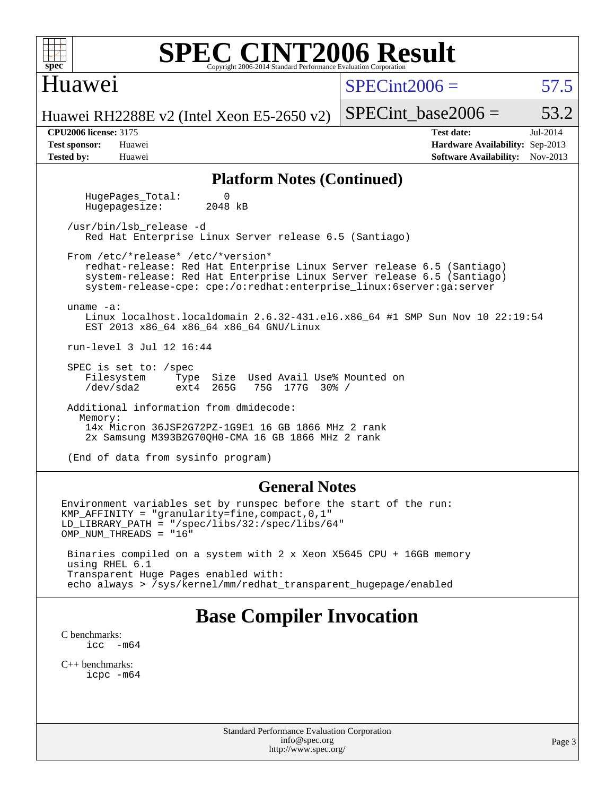### Huawei

 $SPECint2006 = 57.5$  $SPECint2006 = 57.5$ 

Huawei RH2288E v2 (Intel Xeon E5-2650 v2)

**[Tested by:](http://www.spec.org/auto/cpu2006/Docs/result-fields.html#Testedby)** Huawei **[Software Availability:](http://www.spec.org/auto/cpu2006/Docs/result-fields.html#SoftwareAvailability)** Nov-2013

**[CPU2006 license:](http://www.spec.org/auto/cpu2006/Docs/result-fields.html#CPU2006license)** 3175 **[Test date:](http://www.spec.org/auto/cpu2006/Docs/result-fields.html#Testdate)** Jul-2014 **[Test sponsor:](http://www.spec.org/auto/cpu2006/Docs/result-fields.html#Testsponsor)** Huawei **[Hardware Availability:](http://www.spec.org/auto/cpu2006/Docs/result-fields.html#HardwareAvailability)** Sep-2013

SPECint base2006 =  $53.2$ 

### **[Platform Notes \(Continued\)](http://www.spec.org/auto/cpu2006/Docs/result-fields.html#PlatformNotes)**

HugePages\_Total: 0<br>Hugepagesize: 2048 kB Hugepagesize:

 /usr/bin/lsb\_release -d Red Hat Enterprise Linux Server release 6.5 (Santiago)

 From /etc/\*release\* /etc/\*version\* redhat-release: Red Hat Enterprise Linux Server release 6.5 (Santiago) system-release: Red Hat Enterprise Linux Server release 6.5 (Santiago) system-release-cpe: cpe:/o:redhat:enterprise\_linux:6server:ga:server

uname -a:

 Linux localhost.localdomain 2.6.32-431.el6.x86\_64 #1 SMP Sun Nov 10 22:19:54 EST 2013 x86\_64 x86\_64 x86\_64 GNU/Linux

run-level 3 Jul 12 16:44

 SPEC is set to: /spec Filesystem Type Size Used Avail Use% Mounted on<br>
/dev/sda2 ext4 265G 75G 177G 30% / 75G 177G 30% /

 Additional information from dmidecode: Memory: 14x Micron 36JSF2G72PZ-1G9E1 16 GB 1866 MHz 2 rank 2x Samsung M393B2G70QH0-CMA 16 GB 1866 MHz 2 rank

(End of data from sysinfo program)

### **[General Notes](http://www.spec.org/auto/cpu2006/Docs/result-fields.html#GeneralNotes)**

Environment variables set by runspec before the start of the run: KMP\_AFFINITY = "granularity=fine,compact,0,1" LD\_LIBRARY\_PATH = "/spec/libs/32:/spec/libs/64" OMP\_NUM\_THREADS = "16"

 Binaries compiled on a system with 2 x Xeon X5645 CPU + 16GB memory using RHEL 6.1 Transparent Huge Pages enabled with: echo always > /sys/kernel/mm/redhat\_transparent\_hugepage/enabled

## **[Base Compiler Invocation](http://www.spec.org/auto/cpu2006/Docs/result-fields.html#BaseCompilerInvocation)**

[C benchmarks](http://www.spec.org/auto/cpu2006/Docs/result-fields.html#Cbenchmarks):<br> $\frac{icc}{c}$  $-m64$ 

[C++ benchmarks:](http://www.spec.org/auto/cpu2006/Docs/result-fields.html#CXXbenchmarks) [icpc -m64](http://www.spec.org/cpu2006/results/res2014q3/cpu2006-20140715-30485.flags.html#user_CXXbase_intel_icpc_64bit_fc66a5337ce925472a5c54ad6a0de310)

> Standard Performance Evaluation Corporation [info@spec.org](mailto:info@spec.org) <http://www.spec.org/>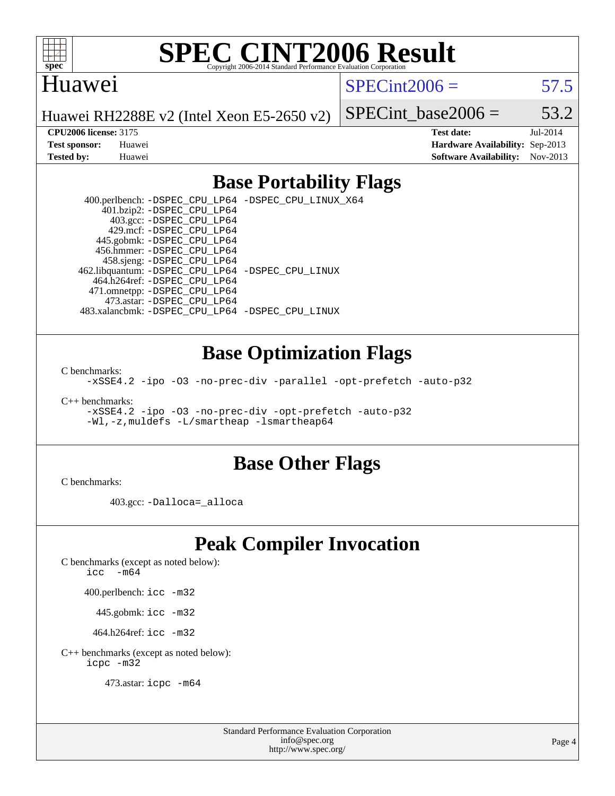

### Huawei

 $SPECint2006 = 57.5$  $SPECint2006 = 57.5$ 

Huawei RH2288E v2 (Intel Xeon E5-2650 v2)

SPECint base2006 =  $53.2$ 

**[CPU2006 license:](http://www.spec.org/auto/cpu2006/Docs/result-fields.html#CPU2006license)** 3175 **[Test date:](http://www.spec.org/auto/cpu2006/Docs/result-fields.html#Testdate)** Jul-2014 **[Test sponsor:](http://www.spec.org/auto/cpu2006/Docs/result-fields.html#Testsponsor)** Huawei **[Hardware Availability:](http://www.spec.org/auto/cpu2006/Docs/result-fields.html#HardwareAvailability)** Sep-2013 **[Tested by:](http://www.spec.org/auto/cpu2006/Docs/result-fields.html#Testedby)** Huawei **[Software Availability:](http://www.spec.org/auto/cpu2006/Docs/result-fields.html#SoftwareAvailability)** Nov-2013

### **[Base Portability Flags](http://www.spec.org/auto/cpu2006/Docs/result-fields.html#BasePortabilityFlags)**

 400.perlbench: [-DSPEC\\_CPU\\_LP64](http://www.spec.org/cpu2006/results/res2014q3/cpu2006-20140715-30485.flags.html#b400.perlbench_basePORTABILITY_DSPEC_CPU_LP64) [-DSPEC\\_CPU\\_LINUX\\_X64](http://www.spec.org/cpu2006/results/res2014q3/cpu2006-20140715-30485.flags.html#b400.perlbench_baseCPORTABILITY_DSPEC_CPU_LINUX_X64) 401.bzip2: [-DSPEC\\_CPU\\_LP64](http://www.spec.org/cpu2006/results/res2014q3/cpu2006-20140715-30485.flags.html#suite_basePORTABILITY401_bzip2_DSPEC_CPU_LP64) 403.gcc: [-DSPEC\\_CPU\\_LP64](http://www.spec.org/cpu2006/results/res2014q3/cpu2006-20140715-30485.flags.html#suite_basePORTABILITY403_gcc_DSPEC_CPU_LP64) 429.mcf: [-DSPEC\\_CPU\\_LP64](http://www.spec.org/cpu2006/results/res2014q3/cpu2006-20140715-30485.flags.html#suite_basePORTABILITY429_mcf_DSPEC_CPU_LP64) 445.gobmk: [-DSPEC\\_CPU\\_LP64](http://www.spec.org/cpu2006/results/res2014q3/cpu2006-20140715-30485.flags.html#suite_basePORTABILITY445_gobmk_DSPEC_CPU_LP64) 456.hmmer: [-DSPEC\\_CPU\\_LP64](http://www.spec.org/cpu2006/results/res2014q3/cpu2006-20140715-30485.flags.html#suite_basePORTABILITY456_hmmer_DSPEC_CPU_LP64) 458.sjeng: [-DSPEC\\_CPU\\_LP64](http://www.spec.org/cpu2006/results/res2014q3/cpu2006-20140715-30485.flags.html#suite_basePORTABILITY458_sjeng_DSPEC_CPU_LP64) 462.libquantum: [-DSPEC\\_CPU\\_LP64](http://www.spec.org/cpu2006/results/res2014q3/cpu2006-20140715-30485.flags.html#suite_basePORTABILITY462_libquantum_DSPEC_CPU_LP64) [-DSPEC\\_CPU\\_LINUX](http://www.spec.org/cpu2006/results/res2014q3/cpu2006-20140715-30485.flags.html#b462.libquantum_baseCPORTABILITY_DSPEC_CPU_LINUX) 464.h264ref: [-DSPEC\\_CPU\\_LP64](http://www.spec.org/cpu2006/results/res2014q3/cpu2006-20140715-30485.flags.html#suite_basePORTABILITY464_h264ref_DSPEC_CPU_LP64) 471.omnetpp: [-DSPEC\\_CPU\\_LP64](http://www.spec.org/cpu2006/results/res2014q3/cpu2006-20140715-30485.flags.html#suite_basePORTABILITY471_omnetpp_DSPEC_CPU_LP64) 473.astar: [-DSPEC\\_CPU\\_LP64](http://www.spec.org/cpu2006/results/res2014q3/cpu2006-20140715-30485.flags.html#suite_basePORTABILITY473_astar_DSPEC_CPU_LP64) 483.xalancbmk: [-DSPEC\\_CPU\\_LP64](http://www.spec.org/cpu2006/results/res2014q3/cpu2006-20140715-30485.flags.html#suite_basePORTABILITY483_xalancbmk_DSPEC_CPU_LP64) [-DSPEC\\_CPU\\_LINUX](http://www.spec.org/cpu2006/results/res2014q3/cpu2006-20140715-30485.flags.html#b483.xalancbmk_baseCXXPORTABILITY_DSPEC_CPU_LINUX)

### **[Base Optimization Flags](http://www.spec.org/auto/cpu2006/Docs/result-fields.html#BaseOptimizationFlags)**

[C benchmarks](http://www.spec.org/auto/cpu2006/Docs/result-fields.html#Cbenchmarks):

[-xSSE4.2](http://www.spec.org/cpu2006/results/res2014q3/cpu2006-20140715-30485.flags.html#user_CCbase_f-xSSE42_f91528193cf0b216347adb8b939d4107) [-ipo](http://www.spec.org/cpu2006/results/res2014q3/cpu2006-20140715-30485.flags.html#user_CCbase_f-ipo) [-O3](http://www.spec.org/cpu2006/results/res2014q3/cpu2006-20140715-30485.flags.html#user_CCbase_f-O3) [-no-prec-div](http://www.spec.org/cpu2006/results/res2014q3/cpu2006-20140715-30485.flags.html#user_CCbase_f-no-prec-div) [-parallel](http://www.spec.org/cpu2006/results/res2014q3/cpu2006-20140715-30485.flags.html#user_CCbase_f-parallel) [-opt-prefetch](http://www.spec.org/cpu2006/results/res2014q3/cpu2006-20140715-30485.flags.html#user_CCbase_f-opt-prefetch) [-auto-p32](http://www.spec.org/cpu2006/results/res2014q3/cpu2006-20140715-30485.flags.html#user_CCbase_f-auto-p32)

[C++ benchmarks:](http://www.spec.org/auto/cpu2006/Docs/result-fields.html#CXXbenchmarks)

[-xSSE4.2](http://www.spec.org/cpu2006/results/res2014q3/cpu2006-20140715-30485.flags.html#user_CXXbase_f-xSSE42_f91528193cf0b216347adb8b939d4107) [-ipo](http://www.spec.org/cpu2006/results/res2014q3/cpu2006-20140715-30485.flags.html#user_CXXbase_f-ipo) [-O3](http://www.spec.org/cpu2006/results/res2014q3/cpu2006-20140715-30485.flags.html#user_CXXbase_f-O3) [-no-prec-div](http://www.spec.org/cpu2006/results/res2014q3/cpu2006-20140715-30485.flags.html#user_CXXbase_f-no-prec-div) [-opt-prefetch](http://www.spec.org/cpu2006/results/res2014q3/cpu2006-20140715-30485.flags.html#user_CXXbase_f-opt-prefetch) [-auto-p32](http://www.spec.org/cpu2006/results/res2014q3/cpu2006-20140715-30485.flags.html#user_CXXbase_f-auto-p32) [-Wl,-z,muldefs](http://www.spec.org/cpu2006/results/res2014q3/cpu2006-20140715-30485.flags.html#user_CXXbase_link_force_multiple1_74079c344b956b9658436fd1b6dd3a8a) [-L/smartheap -lsmartheap64](http://www.spec.org/cpu2006/results/res2014q3/cpu2006-20140715-30485.flags.html#user_CXXbase_SmartHeap64_5e654037dadeae1fe403ab4b4466e60b)

### **[Base Other Flags](http://www.spec.org/auto/cpu2006/Docs/result-fields.html#BaseOtherFlags)**

[C benchmarks](http://www.spec.org/auto/cpu2006/Docs/result-fields.html#Cbenchmarks):

403.gcc: [-Dalloca=\\_alloca](http://www.spec.org/cpu2006/results/res2014q3/cpu2006-20140715-30485.flags.html#b403.gcc_baseEXTRA_CFLAGS_Dalloca_be3056838c12de2578596ca5467af7f3)

# **[Peak Compiler Invocation](http://www.spec.org/auto/cpu2006/Docs/result-fields.html#PeakCompilerInvocation)**

[C benchmarks \(except as noted below\)](http://www.spec.org/auto/cpu2006/Docs/result-fields.html#Cbenchmarksexceptasnotedbelow):

icc  $-m64$ 

400.perlbench: [icc -m32](http://www.spec.org/cpu2006/results/res2014q3/cpu2006-20140715-30485.flags.html#user_peakCCLD400_perlbench_intel_icc_a6a621f8d50482236b970c6ac5f55f93)

445.gobmk: [icc -m32](http://www.spec.org/cpu2006/results/res2014q3/cpu2006-20140715-30485.flags.html#user_peakCCLD445_gobmk_intel_icc_a6a621f8d50482236b970c6ac5f55f93)

464.h264ref: [icc -m32](http://www.spec.org/cpu2006/results/res2014q3/cpu2006-20140715-30485.flags.html#user_peakCCLD464_h264ref_intel_icc_a6a621f8d50482236b970c6ac5f55f93)

[C++ benchmarks \(except as noted below\):](http://www.spec.org/auto/cpu2006/Docs/result-fields.html#CXXbenchmarksexceptasnotedbelow) [icpc -m32](http://www.spec.org/cpu2006/results/res2014q3/cpu2006-20140715-30485.flags.html#user_CXXpeak_intel_icpc_4e5a5ef1a53fd332b3c49e69c3330699)

473.astar: [icpc -m64](http://www.spec.org/cpu2006/results/res2014q3/cpu2006-20140715-30485.flags.html#user_peakCXXLD473_astar_intel_icpc_64bit_fc66a5337ce925472a5c54ad6a0de310)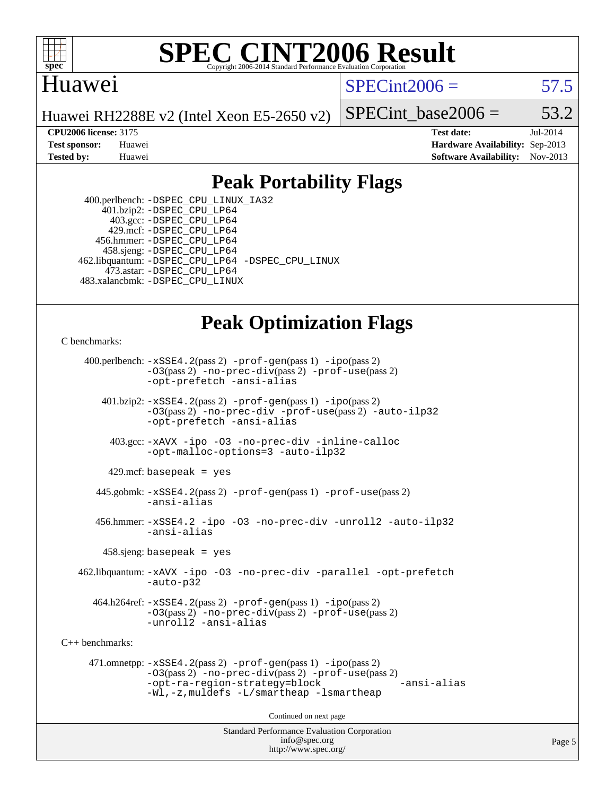

### **[SPEC CINT2006 Result](http://www.spec.org/auto/cpu2006/Docs/result-fields.html#SPECCINT2006Result)** Copyright 2006-2014 Standard Performance Evaluation C

## Huawei

 $SPECint2006 = 57.5$  $SPECint2006 = 57.5$ 

Huawei RH2288E v2 (Intel Xeon E5-2650 v2)

SPECint base2006 =  $53.2$ 

**[CPU2006 license:](http://www.spec.org/auto/cpu2006/Docs/result-fields.html#CPU2006license)** 3175 **[Test date:](http://www.spec.org/auto/cpu2006/Docs/result-fields.html#Testdate)** Jul-2014 **[Test sponsor:](http://www.spec.org/auto/cpu2006/Docs/result-fields.html#Testsponsor)** Huawei **[Hardware Availability:](http://www.spec.org/auto/cpu2006/Docs/result-fields.html#HardwareAvailability)** Sep-2013 **[Tested by:](http://www.spec.org/auto/cpu2006/Docs/result-fields.html#Testedby)** Huawei **[Software Availability:](http://www.spec.org/auto/cpu2006/Docs/result-fields.html#SoftwareAvailability)** Nov-2013

## **[Peak Portability Flags](http://www.spec.org/auto/cpu2006/Docs/result-fields.html#PeakPortabilityFlags)**

 400.perlbench: [-DSPEC\\_CPU\\_LINUX\\_IA32](http://www.spec.org/cpu2006/results/res2014q3/cpu2006-20140715-30485.flags.html#b400.perlbench_peakCPORTABILITY_DSPEC_CPU_LINUX_IA32) 401.bzip2: [-DSPEC\\_CPU\\_LP64](http://www.spec.org/cpu2006/results/res2014q3/cpu2006-20140715-30485.flags.html#suite_peakPORTABILITY401_bzip2_DSPEC_CPU_LP64) 403.gcc: [-DSPEC\\_CPU\\_LP64](http://www.spec.org/cpu2006/results/res2014q3/cpu2006-20140715-30485.flags.html#suite_peakPORTABILITY403_gcc_DSPEC_CPU_LP64) 429.mcf: [-DSPEC\\_CPU\\_LP64](http://www.spec.org/cpu2006/results/res2014q3/cpu2006-20140715-30485.flags.html#suite_peakPORTABILITY429_mcf_DSPEC_CPU_LP64) 456.hmmer: [-DSPEC\\_CPU\\_LP64](http://www.spec.org/cpu2006/results/res2014q3/cpu2006-20140715-30485.flags.html#suite_peakPORTABILITY456_hmmer_DSPEC_CPU_LP64) 458.sjeng: [-DSPEC\\_CPU\\_LP64](http://www.spec.org/cpu2006/results/res2014q3/cpu2006-20140715-30485.flags.html#suite_peakPORTABILITY458_sjeng_DSPEC_CPU_LP64) 462.libquantum: [-DSPEC\\_CPU\\_LP64](http://www.spec.org/cpu2006/results/res2014q3/cpu2006-20140715-30485.flags.html#suite_peakPORTABILITY462_libquantum_DSPEC_CPU_LP64) [-DSPEC\\_CPU\\_LINUX](http://www.spec.org/cpu2006/results/res2014q3/cpu2006-20140715-30485.flags.html#b462.libquantum_peakCPORTABILITY_DSPEC_CPU_LINUX) 473.astar: [-DSPEC\\_CPU\\_LP64](http://www.spec.org/cpu2006/results/res2014q3/cpu2006-20140715-30485.flags.html#suite_peakPORTABILITY473_astar_DSPEC_CPU_LP64) 483.xalancbmk: [-DSPEC\\_CPU\\_LINUX](http://www.spec.org/cpu2006/results/res2014q3/cpu2006-20140715-30485.flags.html#b483.xalancbmk_peakCXXPORTABILITY_DSPEC_CPU_LINUX)

## **[Peak Optimization Flags](http://www.spec.org/auto/cpu2006/Docs/result-fields.html#PeakOptimizationFlags)**

[C benchmarks](http://www.spec.org/auto/cpu2006/Docs/result-fields.html#Cbenchmarks):

 400.perlbench: [-xSSE4.2](http://www.spec.org/cpu2006/results/res2014q3/cpu2006-20140715-30485.flags.html#user_peakPASS2_CFLAGSPASS2_LDCFLAGS400_perlbench_f-xSSE42_f91528193cf0b216347adb8b939d4107)(pass 2) [-prof-gen](http://www.spec.org/cpu2006/results/res2014q3/cpu2006-20140715-30485.flags.html#user_peakPASS1_CFLAGSPASS1_LDCFLAGS400_perlbench_prof_gen_e43856698f6ca7b7e442dfd80e94a8fc)(pass 1) [-ipo](http://www.spec.org/cpu2006/results/res2014q3/cpu2006-20140715-30485.flags.html#user_peakPASS2_CFLAGSPASS2_LDCFLAGS400_perlbench_f-ipo)(pass 2) [-O3](http://www.spec.org/cpu2006/results/res2014q3/cpu2006-20140715-30485.flags.html#user_peakPASS2_CFLAGSPASS2_LDCFLAGS400_perlbench_f-O3)(pass 2) [-no-prec-div](http://www.spec.org/cpu2006/results/res2014q3/cpu2006-20140715-30485.flags.html#user_peakPASS2_CFLAGSPASS2_LDCFLAGS400_perlbench_f-no-prec-div)(pass 2) [-prof-use](http://www.spec.org/cpu2006/results/res2014q3/cpu2006-20140715-30485.flags.html#user_peakPASS2_CFLAGSPASS2_LDCFLAGS400_perlbench_prof_use_bccf7792157ff70d64e32fe3e1250b55)(pass 2) [-opt-prefetch](http://www.spec.org/cpu2006/results/res2014q3/cpu2006-20140715-30485.flags.html#user_peakCOPTIMIZE400_perlbench_f-opt-prefetch) [-ansi-alias](http://www.spec.org/cpu2006/results/res2014q3/cpu2006-20140715-30485.flags.html#user_peakCOPTIMIZE400_perlbench_f-ansi-alias) 401.bzip2: [-xSSE4.2](http://www.spec.org/cpu2006/results/res2014q3/cpu2006-20140715-30485.flags.html#user_peakPASS2_CFLAGSPASS2_LDCFLAGS401_bzip2_f-xSSE42_f91528193cf0b216347adb8b939d4107)(pass 2) [-prof-gen](http://www.spec.org/cpu2006/results/res2014q3/cpu2006-20140715-30485.flags.html#user_peakPASS1_CFLAGSPASS1_LDCFLAGS401_bzip2_prof_gen_e43856698f6ca7b7e442dfd80e94a8fc)(pass 1) [-ipo](http://www.spec.org/cpu2006/results/res2014q3/cpu2006-20140715-30485.flags.html#user_peakPASS2_CFLAGSPASS2_LDCFLAGS401_bzip2_f-ipo)(pass 2) [-O3](http://www.spec.org/cpu2006/results/res2014q3/cpu2006-20140715-30485.flags.html#user_peakPASS2_CFLAGSPASS2_LDCFLAGS401_bzip2_f-O3)(pass 2) [-no-prec-div](http://www.spec.org/cpu2006/results/res2014q3/cpu2006-20140715-30485.flags.html#user_peakCOPTIMIZEPASS2_CFLAGSPASS2_LDCFLAGS401_bzip2_f-no-prec-div) [-prof-use](http://www.spec.org/cpu2006/results/res2014q3/cpu2006-20140715-30485.flags.html#user_peakPASS2_CFLAGSPASS2_LDCFLAGS401_bzip2_prof_use_bccf7792157ff70d64e32fe3e1250b55)(pass 2) [-auto-ilp32](http://www.spec.org/cpu2006/results/res2014q3/cpu2006-20140715-30485.flags.html#user_peakCOPTIMIZE401_bzip2_f-auto-ilp32) [-opt-prefetch](http://www.spec.org/cpu2006/results/res2014q3/cpu2006-20140715-30485.flags.html#user_peakCOPTIMIZE401_bzip2_f-opt-prefetch) [-ansi-alias](http://www.spec.org/cpu2006/results/res2014q3/cpu2006-20140715-30485.flags.html#user_peakCOPTIMIZE401_bzip2_f-ansi-alias) 403.gcc: [-xAVX](http://www.spec.org/cpu2006/results/res2014q3/cpu2006-20140715-30485.flags.html#user_peakCOPTIMIZE403_gcc_f-xAVX) [-ipo](http://www.spec.org/cpu2006/results/res2014q3/cpu2006-20140715-30485.flags.html#user_peakCOPTIMIZE403_gcc_f-ipo) [-O3](http://www.spec.org/cpu2006/results/res2014q3/cpu2006-20140715-30485.flags.html#user_peakCOPTIMIZE403_gcc_f-O3) [-no-prec-div](http://www.spec.org/cpu2006/results/res2014q3/cpu2006-20140715-30485.flags.html#user_peakCOPTIMIZE403_gcc_f-no-prec-div) [-inline-calloc](http://www.spec.org/cpu2006/results/res2014q3/cpu2006-20140715-30485.flags.html#user_peakCOPTIMIZE403_gcc_f-inline-calloc) [-opt-malloc-options=3](http://www.spec.org/cpu2006/results/res2014q3/cpu2006-20140715-30485.flags.html#user_peakCOPTIMIZE403_gcc_f-opt-malloc-options_13ab9b803cf986b4ee62f0a5998c2238) [-auto-ilp32](http://www.spec.org/cpu2006/results/res2014q3/cpu2006-20140715-30485.flags.html#user_peakCOPTIMIZE403_gcc_f-auto-ilp32)  $429$ .mcf: basepeak = yes 445.gobmk: [-xSSE4.2](http://www.spec.org/cpu2006/results/res2014q3/cpu2006-20140715-30485.flags.html#user_peakPASS2_CFLAGSPASS2_LDCFLAGS445_gobmk_f-xSSE42_f91528193cf0b216347adb8b939d4107)(pass 2) [-prof-gen](http://www.spec.org/cpu2006/results/res2014q3/cpu2006-20140715-30485.flags.html#user_peakPASS1_CFLAGSPASS1_LDCFLAGS445_gobmk_prof_gen_e43856698f6ca7b7e442dfd80e94a8fc)(pass 1) [-prof-use](http://www.spec.org/cpu2006/results/res2014q3/cpu2006-20140715-30485.flags.html#user_peakPASS2_CFLAGSPASS2_LDCFLAGS445_gobmk_prof_use_bccf7792157ff70d64e32fe3e1250b55)(pass 2) [-ansi-alias](http://www.spec.org/cpu2006/results/res2014q3/cpu2006-20140715-30485.flags.html#user_peakCOPTIMIZE445_gobmk_f-ansi-alias) 456.hmmer: [-xSSE4.2](http://www.spec.org/cpu2006/results/res2014q3/cpu2006-20140715-30485.flags.html#user_peakCOPTIMIZE456_hmmer_f-xSSE42_f91528193cf0b216347adb8b939d4107) [-ipo](http://www.spec.org/cpu2006/results/res2014q3/cpu2006-20140715-30485.flags.html#user_peakCOPTIMIZE456_hmmer_f-ipo) [-O3](http://www.spec.org/cpu2006/results/res2014q3/cpu2006-20140715-30485.flags.html#user_peakCOPTIMIZE456_hmmer_f-O3) [-no-prec-div](http://www.spec.org/cpu2006/results/res2014q3/cpu2006-20140715-30485.flags.html#user_peakCOPTIMIZE456_hmmer_f-no-prec-div) [-unroll2](http://www.spec.org/cpu2006/results/res2014q3/cpu2006-20140715-30485.flags.html#user_peakCOPTIMIZE456_hmmer_f-unroll_784dae83bebfb236979b41d2422d7ec2) [-auto-ilp32](http://www.spec.org/cpu2006/results/res2014q3/cpu2006-20140715-30485.flags.html#user_peakCOPTIMIZE456_hmmer_f-auto-ilp32) [-ansi-alias](http://www.spec.org/cpu2006/results/res2014q3/cpu2006-20140715-30485.flags.html#user_peakCOPTIMIZE456_hmmer_f-ansi-alias) 458.sjeng: basepeak = yes 462.libquantum: [-xAVX](http://www.spec.org/cpu2006/results/res2014q3/cpu2006-20140715-30485.flags.html#user_peakCOPTIMIZE462_libquantum_f-xAVX) [-ipo](http://www.spec.org/cpu2006/results/res2014q3/cpu2006-20140715-30485.flags.html#user_peakCOPTIMIZE462_libquantum_f-ipo) [-O3](http://www.spec.org/cpu2006/results/res2014q3/cpu2006-20140715-30485.flags.html#user_peakCOPTIMIZE462_libquantum_f-O3) [-no-prec-div](http://www.spec.org/cpu2006/results/res2014q3/cpu2006-20140715-30485.flags.html#user_peakCOPTIMIZE462_libquantum_f-no-prec-div) [-parallel](http://www.spec.org/cpu2006/results/res2014q3/cpu2006-20140715-30485.flags.html#user_peakCOPTIMIZE462_libquantum_f-parallel) [-opt-prefetch](http://www.spec.org/cpu2006/results/res2014q3/cpu2006-20140715-30485.flags.html#user_peakCOPTIMIZE462_libquantum_f-opt-prefetch) [-auto-p32](http://www.spec.org/cpu2006/results/res2014q3/cpu2006-20140715-30485.flags.html#user_peakCOPTIMIZE462_libquantum_f-auto-p32) 464.h264ref: [-xSSE4.2](http://www.spec.org/cpu2006/results/res2014q3/cpu2006-20140715-30485.flags.html#user_peakPASS2_CFLAGSPASS2_LDCFLAGS464_h264ref_f-xSSE42_f91528193cf0b216347adb8b939d4107)(pass 2) [-prof-gen](http://www.spec.org/cpu2006/results/res2014q3/cpu2006-20140715-30485.flags.html#user_peakPASS1_CFLAGSPASS1_LDCFLAGS464_h264ref_prof_gen_e43856698f6ca7b7e442dfd80e94a8fc)(pass 1) [-ipo](http://www.spec.org/cpu2006/results/res2014q3/cpu2006-20140715-30485.flags.html#user_peakPASS2_CFLAGSPASS2_LDCFLAGS464_h264ref_f-ipo)(pass 2) [-O3](http://www.spec.org/cpu2006/results/res2014q3/cpu2006-20140715-30485.flags.html#user_peakPASS2_CFLAGSPASS2_LDCFLAGS464_h264ref_f-O3)(pass 2) [-no-prec-div](http://www.spec.org/cpu2006/results/res2014q3/cpu2006-20140715-30485.flags.html#user_peakPASS2_CFLAGSPASS2_LDCFLAGS464_h264ref_f-no-prec-div)(pass 2) [-prof-use](http://www.spec.org/cpu2006/results/res2014q3/cpu2006-20140715-30485.flags.html#user_peakPASS2_CFLAGSPASS2_LDCFLAGS464_h264ref_prof_use_bccf7792157ff70d64e32fe3e1250b55)(pass 2) [-unroll2](http://www.spec.org/cpu2006/results/res2014q3/cpu2006-20140715-30485.flags.html#user_peakCOPTIMIZE464_h264ref_f-unroll_784dae83bebfb236979b41d2422d7ec2) [-ansi-alias](http://www.spec.org/cpu2006/results/res2014q3/cpu2006-20140715-30485.flags.html#user_peakCOPTIMIZE464_h264ref_f-ansi-alias) [C++ benchmarks:](http://www.spec.org/auto/cpu2006/Docs/result-fields.html#CXXbenchmarks) 471.omnetpp: [-xSSE4.2](http://www.spec.org/cpu2006/results/res2014q3/cpu2006-20140715-30485.flags.html#user_peakPASS2_CXXFLAGSPASS2_LDCXXFLAGS471_omnetpp_f-xSSE42_f91528193cf0b216347adb8b939d4107)(pass 2) [-prof-gen](http://www.spec.org/cpu2006/results/res2014q3/cpu2006-20140715-30485.flags.html#user_peakPASS1_CXXFLAGSPASS1_LDCXXFLAGS471_omnetpp_prof_gen_e43856698f6ca7b7e442dfd80e94a8fc)(pass 1) [-ipo](http://www.spec.org/cpu2006/results/res2014q3/cpu2006-20140715-30485.flags.html#user_peakPASS2_CXXFLAGSPASS2_LDCXXFLAGS471_omnetpp_f-ipo)(pass 2) [-O3](http://www.spec.org/cpu2006/results/res2014q3/cpu2006-20140715-30485.flags.html#user_peakPASS2_CXXFLAGSPASS2_LDCXXFLAGS471_omnetpp_f-O3)(pass 2) [-no-prec-div](http://www.spec.org/cpu2006/results/res2014q3/cpu2006-20140715-30485.flags.html#user_peakPASS2_CXXFLAGSPASS2_LDCXXFLAGS471_omnetpp_f-no-prec-div)(pass 2) [-prof-use](http://www.spec.org/cpu2006/results/res2014q3/cpu2006-20140715-30485.flags.html#user_peakPASS2_CXXFLAGSPASS2_LDCXXFLAGS471_omnetpp_prof_use_bccf7792157ff70d64e32fe3e1250b55)(pass 2) [-opt-ra-region-strategy=block](http://www.spec.org/cpu2006/results/res2014q3/cpu2006-20140715-30485.flags.html#user_peakCXXOPTIMIZE471_omnetpp_f-opt-ra-region-strategy_5382940c29ea30302d682fc74bfe0147) [-ansi-alias](http://www.spec.org/cpu2006/results/res2014q3/cpu2006-20140715-30485.flags.html#user_peakCXXOPTIMIZE471_omnetpp_f-ansi-alias) [-Wl,-z,muldefs](http://www.spec.org/cpu2006/results/res2014q3/cpu2006-20140715-30485.flags.html#user_peakEXTRA_LDFLAGS471_omnetpp_link_force_multiple1_74079c344b956b9658436fd1b6dd3a8a) [-L/smartheap -lsmartheap](http://www.spec.org/cpu2006/results/res2014q3/cpu2006-20140715-30485.flags.html#user_peakEXTRA_LIBS471_omnetpp_SmartHeap_7c9e394a5779e1a7fec7c221e123830c) Continued on next page

> Standard Performance Evaluation Corporation [info@spec.org](mailto:info@spec.org) <http://www.spec.org/>